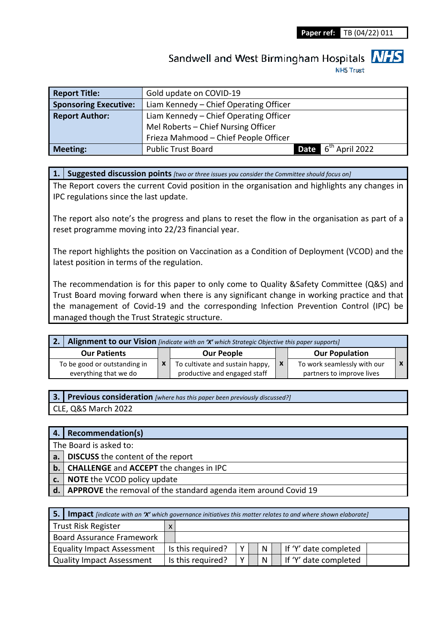**Paper ref:** TB (04/22) 011

# Sandwell and West Birmingham Hospitals MHS

**NHS Trust** 

| <b>Report Title:</b>         | Gold update on COVID-19                |  |                                 |  |  |  |  |
|------------------------------|----------------------------------------|--|---------------------------------|--|--|--|--|
| <b>Sponsoring Executive:</b> | Liam Kennedy - Chief Operating Officer |  |                                 |  |  |  |  |
| <b>Report Author:</b>        | Liam Kennedy - Chief Operating Officer |  |                                 |  |  |  |  |
|                              | Mel Roberts - Chief Nursing Officer    |  |                                 |  |  |  |  |
|                              | Frieza Mahmood - Chief People Officer  |  |                                 |  |  |  |  |
| <b>Meeting:</b>              | <b>Public Trust Board</b>              |  | Date 6 <sup>th</sup> April 2022 |  |  |  |  |

**1. Suggested discussion points** *[two or three issues you consider the Committee should focus on]* 

The Report covers the current Covid position in the organisation and highlights any changes in IPC regulations since the last update.

The report also note's the progress and plans to reset the flow in the organisation as part of a reset programme moving into 22/23 financial year.

The report highlights the position on Vaccination as a Condition of Deployment (VCOD) and the latest position in terms of the regulation.

The recommendation is for this paper to only come to Quality &Safety Committee (Q&S) and Trust Board moving forward when there is any significant change in working practice and that the management of Covid-19 and the corresponding Infection Prevention Control (IPC) be managed though the Trust Strategic structure.

| Alignment to our Vision [indicate with an 'X' which Strategic Objective this paper supports] |  |                                 |              |                             |  |
|----------------------------------------------------------------------------------------------|--|---------------------------------|--------------|-----------------------------|--|
| <b>Our Patients</b>                                                                          |  | <b>Our People</b>               |              | <b>Our Population</b>       |  |
| To be good or outstanding in                                                                 |  | To cultivate and sustain happy, | $\mathbf{X}$ | To work seamlessly with our |  |
| everything that we do                                                                        |  | productive and engaged staff    |              | partners to improve lives   |  |

**3. Previous consideration** *[where has this paper been previously discussed?]*

CLE, Q&S March 2022

| 4. Recommendation(s)                                                               |  |  |  |
|------------------------------------------------------------------------------------|--|--|--|
| The Board is asked to:                                                             |  |  |  |
| a. DISCUSS the content of the report                                               |  |  |  |
| $\vert$ b. $\vert$ CHALLENGE and ACCEPT the changes in IPC                         |  |  |  |
| $\vert$ c. $\vert$ NOTE the VCOD policy update                                     |  |  |  |
| $\vert$ d. $\vert$ APPROVE the removal of the standard agenda item around Covid 19 |  |  |  |

| 5.1                               | <b>Impact</b> [indicate with an 'X' which governance initiatives this matter relates to and where shown elaborate] |                   |   |  |          |  |                       |
|-----------------------------------|--------------------------------------------------------------------------------------------------------------------|-------------------|---|--|----------|--|-----------------------|
| Trust Risk Register               | X                                                                                                                  |                   |   |  |          |  |                       |
| <b>Board Assurance Framework</b>  |                                                                                                                    |                   |   |  |          |  |                       |
| <b>Equality Impact Assessment</b> |                                                                                                                    | Is this required? | v |  | N        |  | If 'Y' date completed |
| <b>Quality Impact Assessment</b>  |                                                                                                                    | Is this required? | v |  | <b>N</b> |  | If 'Y' date completed |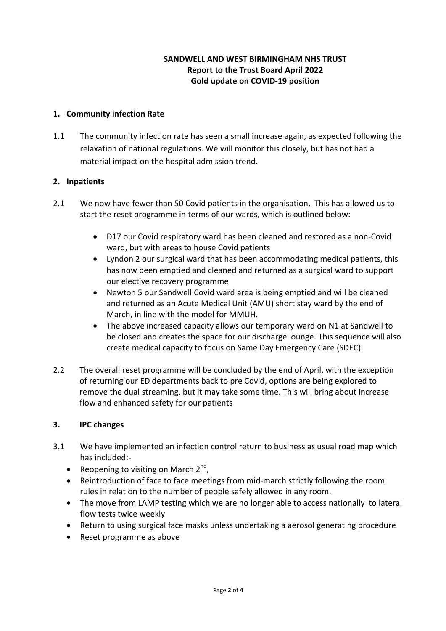# **SANDWELL AND WEST BIRMINGHAM NHS TRUST Report to the Trust Board April 2022 Gold update on COVID-19 position**

## **1. Community infection Rate**

1.1 The community infection rate has seen a small increase again, as expected following the relaxation of national regulations. We will monitor this closely, but has not had a material impact on the hospital admission trend.

### **2. Inpatients**

- 2.1 We now have fewer than 50 Covid patients in the organisation. This has allowed us to start the reset programme in terms of our wards, which is outlined below:
	- D17 our Covid respiratory ward has been cleaned and restored as a non-Covid ward, but with areas to house Covid patients
	- Lyndon 2 our surgical ward that has been accommodating medical patients, this has now been emptied and cleaned and returned as a surgical ward to support our elective recovery programme
	- Newton 5 our Sandwell Covid ward area is being emptied and will be cleaned and returned as an Acute Medical Unit (AMU) short stay ward by the end of March, in line with the model for MMUH.
	- The above increased capacity allows our temporary ward on N1 at Sandwell to be closed and creates the space for our discharge lounge. This sequence will also create medical capacity to focus on Same Day Emergency Care (SDEC).
- 2.2 The overall reset programme will be concluded by the end of April, with the exception of returning our ED departments back to pre Covid, options are being explored to remove the dual streaming, but it may take some time. This will bring about increase flow and enhanced safety for our patients

#### **3. IPC changes**

- 3.1 We have implemented an infection control return to business as usual road map which has included:-
	- Reopening to visiting on March  $2^{nd}$ ,
	- Reintroduction of face to face meetings from mid-march strictly following the room rules in relation to the number of people safely allowed in any room.
	- The move from LAMP testing which we are no longer able to access nationally to lateral flow tests twice weekly
	- Return to using surgical face masks unless undertaking a aerosol generating procedure
	- Reset programme as above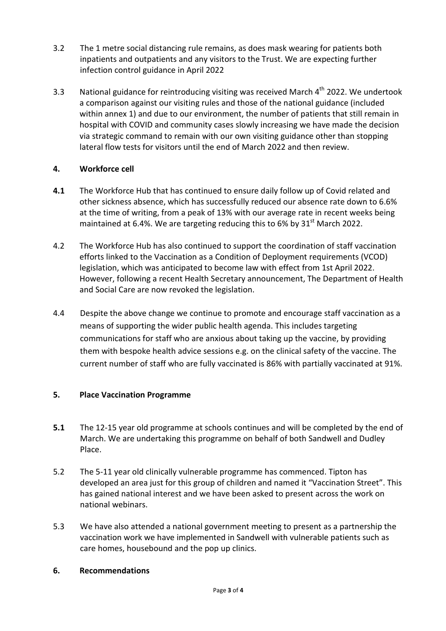- 3.2 The 1 metre social distancing rule remains, as does mask wearing for patients both inpatients and outpatients and any visitors to the Trust. We are expecting further infection control guidance in April 2022
- 3.3 National guidance for reintroducing visiting was received March 4<sup>th</sup> 2022. We undertook a comparison against our visiting rules and those of the national guidance (included within annex 1) and due to our environment, the number of patients that still remain in hospital with COVID and community cases slowly increasing we have made the decision via strategic command to remain with our own visiting guidance other than stopping lateral flow tests for visitors until the end of March 2022 and then review.

# **4. Workforce cell**

- **4.1** The Workforce Hub that has continued to ensure daily follow up of Covid related and other sickness absence, which has successfully reduced our absence rate down to 6.6% at the time of writing, from a peak of 13% with our average rate in recent weeks being maintained at 6.4%. We are targeting reducing this to 6% by  $31<sup>st</sup>$  March 2022.
- 4.2 The Workforce Hub has also continued to support the coordination of staff vaccination efforts linked to the Vaccination as a Condition of Deployment requirements (VCOD) legislation, which was anticipated to become law with effect from 1st April 2022. However, following a recent Health Secretary announcement, The Department of Health and Social Care are now revoked the legislation.
- 4.4 Despite the above change we continue to promote and encourage staff vaccination as a means of supporting the wider public health agenda. This includes targeting communications for staff who are anxious about taking up the vaccine, by providing them with bespoke health advice sessions e.g. on the clinical safety of the vaccine. The current number of staff who are fully vaccinated is 86% with partially vaccinated at 91%.

# **5. Place Vaccination Programme**

- **5.1** The 12-15 year old programme at schools continues and will be completed by the end of March. We are undertaking this programme on behalf of both Sandwell and Dudley Place.
- 5.2 The 5-11 year old clinically vulnerable programme has commenced. Tipton has developed an area just for this group of children and named it "Vaccination Street". This has gained national interest and we have been asked to present across the work on national webinars.
- 5.3 We have also attended a national government meeting to present as a partnership the vaccination work we have implemented in Sandwell with vulnerable patients such as care homes, housebound and the pop up clinics.

# **6. Recommendations**